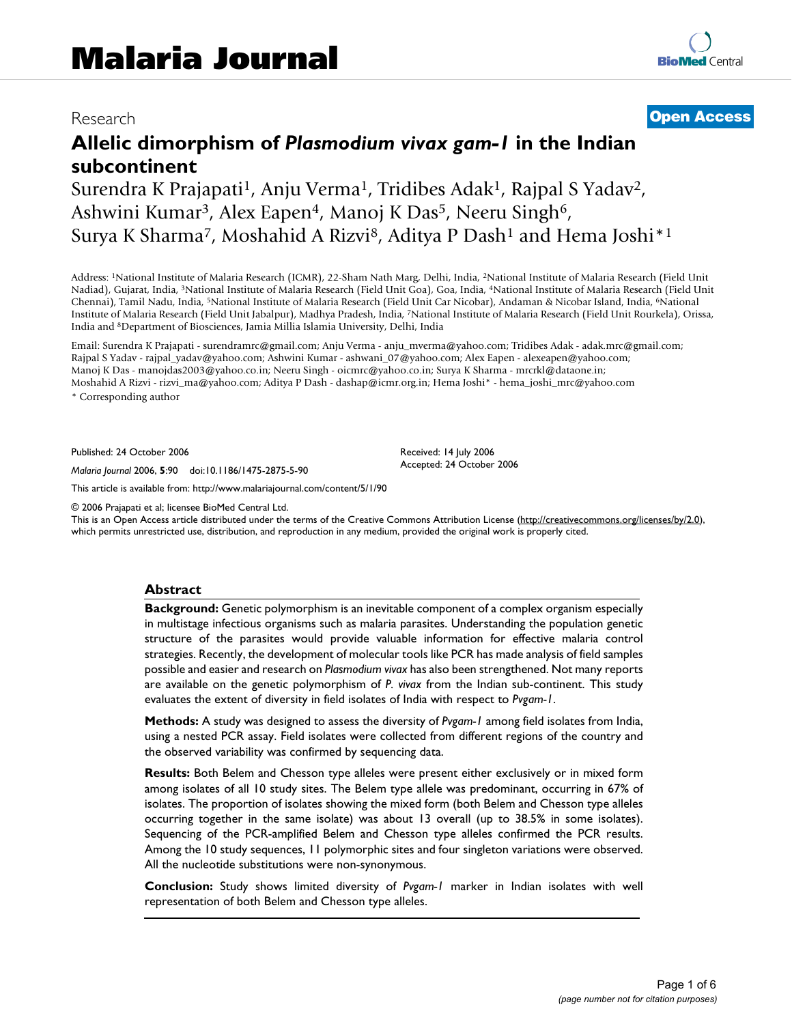# Research **[Open Access](http://www.biomedcentral.com/info/about/charter/)**

**[BioMed](http://www.biomedcentral.com/)** Central

# **Allelic dimorphism of** *Plasmodium vivax gam-1* **in the Indian subcontinent**

Surendra K Prajapati<sup>1</sup>, Anju Verma<sup>1</sup>, Tridibes Adak<sup>1</sup>, Rajpal S Yadav<sup>2</sup>, Ashwini Kumar<sup>3</sup>, Alex Eapen<sup>4</sup>, Manoj K Das<sup>5</sup>, Neeru Singh<sup>6</sup>, Surya K Sharma<sup>7</sup>, Moshahid A Rizvi<sup>8</sup>, Aditya P Dash<sup>1</sup> and Hema Joshi<sup>\*1</sup>

Address: 1National Institute of Malaria Research (ICMR), 22-Sham Nath Marg, Delhi, India, 2National Institute of Malaria Research (Field Unit Nadiad), Gujarat, India, 3National Institute of Malaria Research (Field Unit Goa), Goa, India, 4National Institute of Malaria Research (Field Unit Chennai), Tamil Nadu, India, 5National Institute of Malaria Research (Field Unit Car Nicobar), Andaman & Nicobar Island, India, 6National Institute of Malaria Research (Field Unit Jabalpur), Madhya Pradesh, India, 7National Institute of Malaria Research (Field Unit Rourkela), Orissa, India and 8Department of Biosciences, Jamia Millia Islamia University, Delhi, India

Email: Surendra K Prajapati - surendramrc@gmail.com; Anju Verma - anju\_mverma@yahoo.com; Tridibes Adak - adak.mrc@gmail.com; Rajpal S Yadav - rajpal\_yadav@yahoo.com; Ashwini Kumar - ashwani\_07@yahoo.com; Alex Eapen - alexeapen@yahoo.com; Manoj K Das - manojdas2003@yahoo.co.in; Neeru Singh - oicmrc@yahoo.co.in; Surya K Sharma - mrcrkl@dataone.in; Moshahid A Rizvi - rizvi\_ma@yahoo.com; Aditya P Dash - dashap@icmr.org.in; Hema Joshi\* - hema\_joshi\_mrc@yahoo.com

\* Corresponding author

Published: 24 October 2006

*Malaria Journal* 2006, **5**:90 doi:10.1186/1475-2875-5-90

[This article is available from: http://www.malariajournal.com/content/5/1/90](http://www.malariajournal.com/content/5/1/90)

© 2006 Prajapati et al; licensee BioMed Central Ltd.

This is an Open Access article distributed under the terms of the Creative Commons Attribution License [\(http://creativecommons.org/licenses/by/2.0\)](http://creativecommons.org/licenses/by/2.0), which permits unrestricted use, distribution, and reproduction in any medium, provided the original work is properly cited.

Received: 14 July 2006 Accepted: 24 October 2006

#### **Abstract**

**Background:** Genetic polymorphism is an inevitable component of a complex organism especially in multistage infectious organisms such as malaria parasites. Understanding the population genetic structure of the parasites would provide valuable information for effective malaria control strategies. Recently, the development of molecular tools like PCR has made analysis of field samples possible and easier and research on *Plasmodium vivax* has also been strengthened. Not many reports are available on the genetic polymorphism of *P. vivax* from the Indian sub-continent. This study evaluates the extent of diversity in field isolates of India with respect to *Pvgam-1*.

**Methods:** A study was designed to assess the diversity of *Pvgam-1* among field isolates from India, using a nested PCR assay. Field isolates were collected from different regions of the country and the observed variability was confirmed by sequencing data.

**Results:** Both Belem and Chesson type alleles were present either exclusively or in mixed form among isolates of all 10 study sites. The Belem type allele was predominant, occurring in 67% of isolates. The proportion of isolates showing the mixed form (both Belem and Chesson type alleles occurring together in the same isolate) was about 13 overall (up to 38.5% in some isolates). Sequencing of the PCR-amplified Belem and Chesson type alleles confirmed the PCR results. Among the 10 study sequences, 11 polymorphic sites and four singleton variations were observed. All the nucleotide substitutions were non-synonymous.

**Conclusion:** Study shows limited diversity of *Pvgam-1* marker in Indian isolates with well representation of both Belem and Chesson type alleles.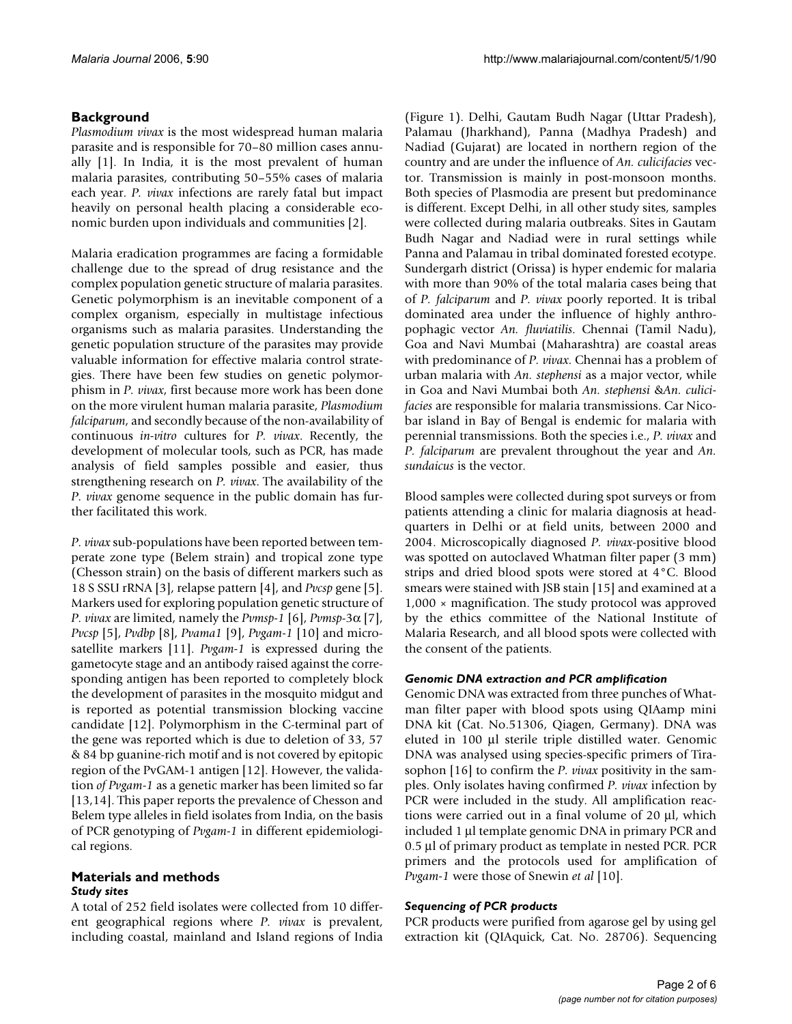# **Background**

*Plasmodium vivax* is the most widespread human malaria parasite and is responsible for 70–80 million cases annually [[1](#page-5-0)]. In India, it is the most prevalent of human malaria parasites, contributing 50–55% cases of malaria each year. *P. vivax* infections are rarely fatal but impact heavily on personal health placing a considerable economic burden upon individuals and communities [2].

Malaria eradication programmes are facing a formidable challenge due to the spread of drug resistance and the complex population genetic structure of malaria parasites. Genetic polymorphism is an inevitable component of a complex organism, especially in multistage infectious organisms such as malaria parasites. Understanding the genetic population structure of the parasites may provide valuable information for effective malaria control strategies. There have been few studies on genetic polymorphism in *P. vivax*, first because more work has been done on the more virulent human malaria parasite, *Plasmodium falciparum*, and secondly because of the non-availability of continuous *in-vitro* cultures for *P. vivax*. Recently, the development of molecular tools, such as PCR, has made analysis of field samples possible and easier, thus strengthening research on *P. vivax*. The availability of the *P. vivax* genome sequence in the public domain has further facilitated this work.

*P. vivax* sub-populations have been reported between temperate zone type (Belem strain) and tropical zone type (Chesson strain) on the basis of different markers such as 18 S SSU rRNA [3], relapse pattern [\[4\]](#page-5-1), and *Pvcsp* gene [5]. Markers used for exploring population genetic structure of *P. vivax* are limited, namely the *Pvmsp-1* [6], *Pvmsp*-3α [[7](#page-5-2)], *Pvcsp* [5], *Pvdbp* [8], *Pvama1* [9], *Pvgam-1* [10] and microsatellite markers [11]. *Pvgam-1* is expressed during the gametocyte stage and an antibody raised against the corresponding antigen has been reported to completely block the development of parasites in the mosquito midgut and is reported as potential transmission blocking vaccine candidate [12]. Polymorphism in the C-terminal part of the gene was reported which is due to deletion of 33, 57 & 84 bp guanine-rich motif and is not covered by epitopic region of the PvGAM-1 antigen [12]. However, the validation *of Pvgam-1* as a genetic marker has been limited so far [13,[14\]](#page-5-3). This paper reports the prevalence of Chesson and Belem type alleles in field isolates from India, on the basis of PCR genotyping of *Pvgam-1* in different epidemiological regions.

#### **Materials and methods** *Study sites*

A total of 252 field isolates were collected from 10 different geographical regions where *P. vivax* is prevalent, including coastal, mainland and Island regions of India

(Figure 1). Delhi, Gautam Budh Nagar (Uttar Pradesh), Palamau (Jharkhand), Panna (Madhya Pradesh) and Nadiad (Gujarat) are located in northern region of the country and are under the influence of *An. culicifacies* vector. Transmission is mainly in post-monsoon months. Both species of Plasmodia are present but predominance is different. Except Delhi, in all other study sites, samples were collected during malaria outbreaks. Sites in Gautam Budh Nagar and Nadiad were in rural settings while Panna and Palamau in tribal dominated forested ecotype. Sundergarh district (Orissa) is hyper endemic for malaria with more than 90% of the total malaria cases being that of *P. falciparum* and *P. vivax* poorly reported. It is tribal dominated area under the influence of highly anthropophagic vector *An. fluviatilis*. Chennai (Tamil Nadu), Goa and Navi Mumbai (Maharashtra) are coastal areas with predominance of *P. vivax*. Chennai has a problem of urban malaria with *An. stephensi* as a major vector, while in Goa and Navi Mumbai both *An. stephensi* &*An. culicifacies* are responsible for malaria transmissions. Car Nicobar island in Bay of Bengal is endemic for malaria with perennial transmissions. Both the species i.e., *P. vivax* and *P. falciparum* are prevalent throughout the year and *An. sundaicus* is the vector.

Blood samples were collected during spot surveys or from patients attending a clinic for malaria diagnosis at headquarters in Delhi or at field units, between 2000 and 2004. Microscopically diagnosed *P. vivax*-positive blood was spotted on autoclaved Whatman filter paper (3 mm) strips and dried blood spots were stored at 4°C. Blood smears were stained with JSB stain [15] and examined at a 1,000 × magnification. The study protocol was approved by the ethics committee of the National Institute of Malaria Research, and all blood spots were collected with the consent of the patients.

# *Genomic DNA extraction and PCR amplification*

Genomic DNA was extracted from three punches of Whatman filter paper with blood spots using QIAamp mini DNA kit (Cat. No.51306, Qiagen, Germany). DNA was eluted in 100 μl sterile triple distilled water. Genomic DNA was analysed using species-specific primers of Tirasophon [16] to confirm the *P. vivax* positivity in the samples. Only isolates having confirmed *P. vivax* infection by PCR were included in the study. All amplification reactions were carried out in a final volume of 20 μl, which included 1 μl template genomic DNA in primary PCR and 0.5 μl of primary product as template in nested PCR. PCR primers and the protocols used for amplification of *Pvgam-1* were those of Snewin *et al* [10].

# *Sequencing of PCR products*

PCR products were purified from agarose gel by using gel extraction kit (QIAquick, Cat. No. 28706). Sequencing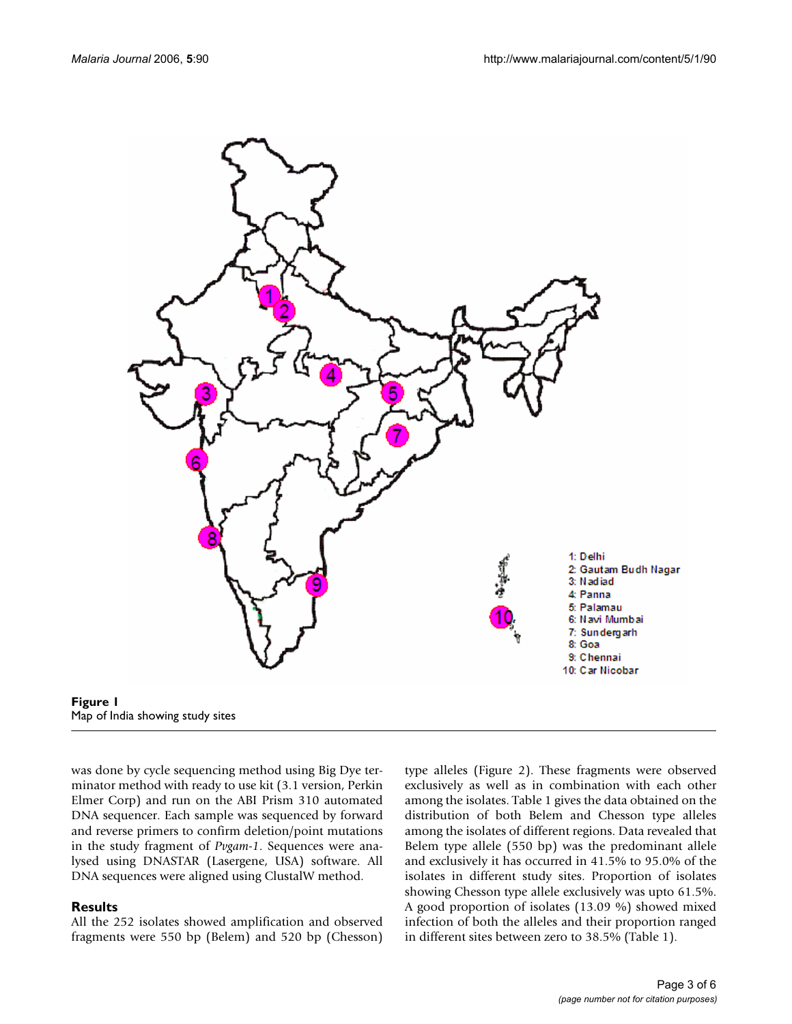



was done by cycle sequencing method using Big Dye terminator method with ready to use kit (3.1 version, Perkin Elmer Corp) and run on the ABI Prism 310 automated DNA sequencer. Each sample was sequenced by forward and reverse primers to confirm deletion/point mutations in the study fragment of *Pvgam-1*. Sequences were analysed using DNASTAR (Lasergene, USA) software. All DNA sequences were aligned using ClustalW method.

#### **Results**

All the 252 isolates showed amplification and observed fragments were 550 bp (Belem) and 520 bp (Chesson) type alleles (Figure 2). These fragments were observed exclusively as well as in combination with each other among the isolates. Table 1 gives the data obtained on the distribution of both Belem and Chesson type alleles among the isolates of different regions. Data revealed that Belem type allele (550 bp) was the predominant allele and exclusively it has occurred in 41.5% to 95.0% of the isolates in different study sites. Proportion of isolates showing Chesson type allele exclusively was upto 61.5%. A good proportion of isolates (13.09 %) showed mixed infection of both the alleles and their proportion ranged in different sites between zero to 38.5% (Table 1).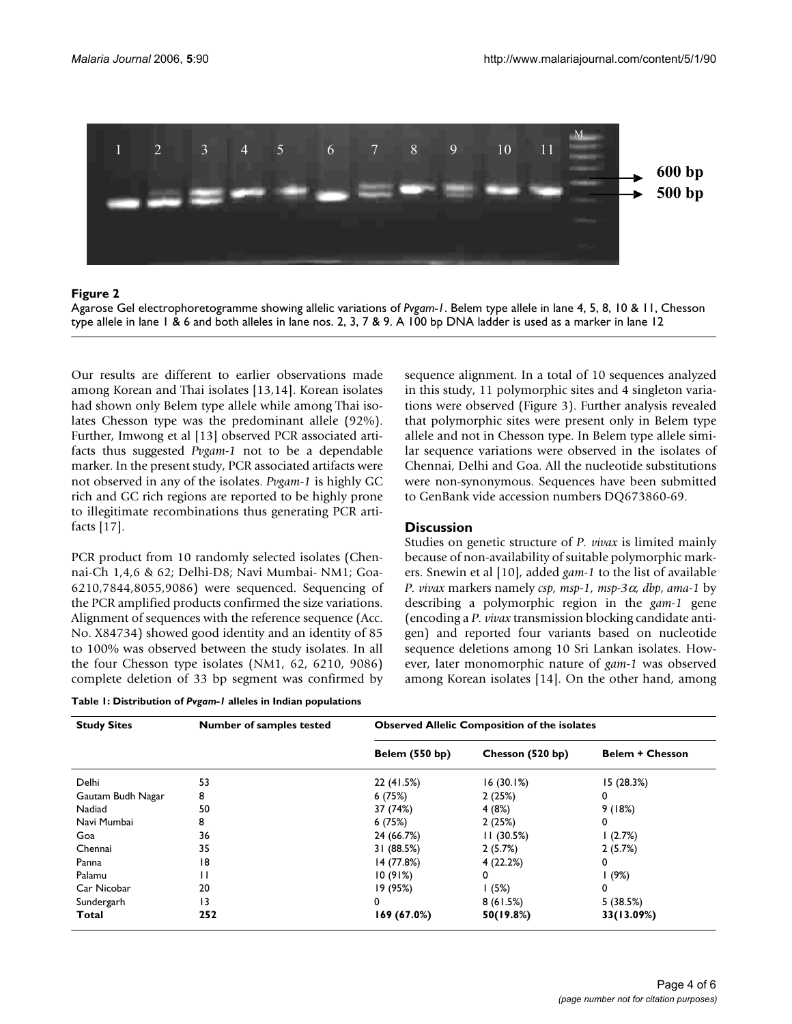

#### Figure 2

Agarose Gel electrophoretogramme showing allelic variations of *Pvgam-1*. Belem type allele in lane 4, 5, 8, 10 & 11, Chesson type allele in lane 1 & 6 and both alleles in lane nos. 2, 3, 7 & 9. A 100 bp DNA ladder is used as a marker in lane 12

Our results are different to earlier observations made among Korean and Thai isolates [13[,14\]](#page-5-3). Korean isolates had shown only Belem type allele while among Thai isolates Chesson type was the predominant allele (92%). Further, Imwong et al [13] observed PCR associated artifacts thus suggested *Pvgam-1* not to be a dependable marker. In the present study, PCR associated artifacts were not observed in any of the isolates. *Pvgam-1* is highly GC rich and GC rich regions are reported to be highly prone to illegitimate recombinations thus generating PCR artifacts [17].

PCR product from 10 randomly selected isolates (Chennai-Ch 1,4,6 & 62; Delhi-D8; Navi Mumbai- NM1; Goa-6210,7844,8055,9086) were sequenced. Sequencing of the PCR amplified products confirmed the size variations. Alignment of sequences with the reference sequence (Acc. No. X84734) showed good identity and an identity of 85 to 100% was observed between the study isolates. In all the four Chesson type isolates (NM1, 62, 6210, 9086) complete deletion of 33 bp segment was confirmed by

| Table 1: Distribution of Pvgam-1 alleles in Indian populations |  |
|----------------------------------------------------------------|--|
|----------------------------------------------------------------|--|

sequence alignment. In a total of 10 sequences analyzed in this study, 11 polymorphic sites and 4 singleton variations were observed (Figure 3). Further analysis revealed that polymorphic sites were present only in Belem type allele and not in Chesson type. In Belem type allele similar sequence variations were observed in the isolates of Chennai, Delhi and Goa. All the nucleotide substitutions were non-synonymous. Sequences have been submitted to GenBank vide accession numbers DQ673860-69.

#### **Discussion**

Studies on genetic structure of *P. vivax* is limited mainly because of non-availability of suitable polymorphic markers. Snewin et al [10], added *gam-1* to the list of available *P. vivax* markers namely *csp, msp-1, msp-3*α*, dbp*, *ama-1* by describing a polymorphic region in the *gam-1* gene (encoding a *P. vivax* transmission blocking candidate antigen) and reported four variants based on nucleotide sequence deletions among 10 Sri Lankan isolates. However, later monomorphic nature of *gam-1* was observed among Korean isolates [\[14](#page-5-3)]. On the other hand, among

| <b>Study Sites</b> | <b>Number of samples tested</b> | <b>Observed Allelic Composition of the isolates</b> |                  |                        |  |  |  |  |  |
|--------------------|---------------------------------|-----------------------------------------------------|------------------|------------------------|--|--|--|--|--|
|                    |                                 | <b>Belem (550 bp)</b>                               | Chesson (520 bp) | <b>Belem + Chesson</b> |  |  |  |  |  |
| Delhi              | 53                              | 22 (41.5%)                                          | 16(30.1%)        | 15(28.3%)              |  |  |  |  |  |
| Gautam Budh Nagar  | 8                               | 6(75%)                                              | 2(25%)           | 0                      |  |  |  |  |  |
| Nadiad             | 50                              | 37 (74%)                                            | 4(8%)            | 9(18%)                 |  |  |  |  |  |
| Navi Mumbai        | 8                               | 6(75%)                                              | 2(25%)           | 0                      |  |  |  |  |  |
| Goa                | 36                              | 24 (66.7%)                                          | 11(30.5%)        | (2.7%)                 |  |  |  |  |  |
| Chennai            | 35                              | 31 (88.5%)                                          | 2(5.7%)          | 2(5.7%)                |  |  |  |  |  |
| Panna              | 18                              | 14 (77.8%)                                          | 4(22.2%)         | 0                      |  |  |  |  |  |
| Palamu             | н                               | 10(91%)                                             | 0                | 1(9%)                  |  |  |  |  |  |
| Car Nicobar        | 20                              | 19 (95%)                                            | 1(5%)            | 0                      |  |  |  |  |  |
| Sundergarh         | 13                              | 0                                                   | 8(61.5%)         | 5(38.5%)               |  |  |  |  |  |
| Total              | 252                             | 169 (67.0%)                                         | 50(19.8%)        | 33(13.09%)             |  |  |  |  |  |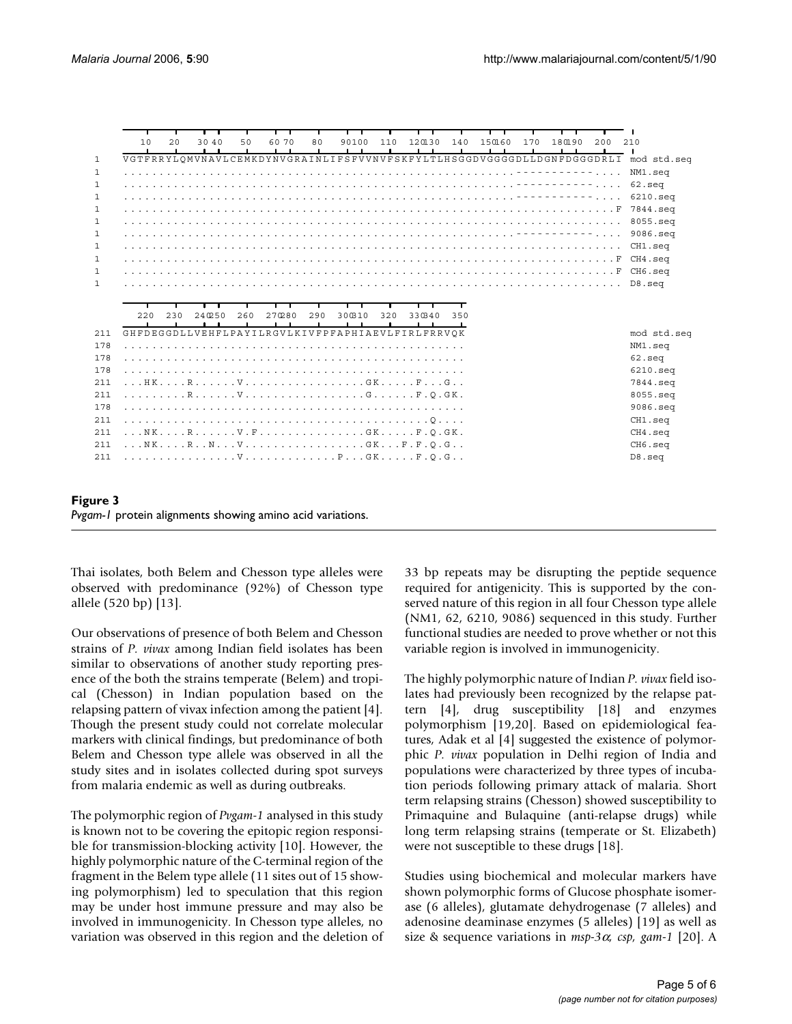|              | 10                                               | 2.0 | 3040   | 50  | 60 70  | 80  | . .<br>90100 | 110 | 120130 | $\mathbf{1}$ | . .<br>140 | 150160 | 170 | 180190 | 200 | 210                                                                                |  |
|--------------|--------------------------------------------------|-----|--------|-----|--------|-----|--------------|-----|--------|--------------|------------|--------|-----|--------|-----|------------------------------------------------------------------------------------|--|
| $\mathbf{1}$ |                                                  |     |        |     |        |     |              |     |        |              |            |        |     |        |     | VGTFRRYLOMVNAVLCEMKDYNVGRAINLIFSFVVNVFSKFYLTLHSGGDVGGGGDLLDGNFDGGGDRLI mod std.seq |  |
| 1            |                                                  |     |        |     |        |     |              |     |        |              |            |        |     |        |     | NM1.seg                                                                            |  |
| 1            |                                                  |     |        |     |        |     |              |     |        |              |            |        |     |        |     |                                                                                    |  |
| 1            |                                                  |     |        |     |        |     |              |     |        |              |            |        |     |        |     | $6210.\text{sec}$                                                                  |  |
| 1            |                                                  |     |        |     |        |     |              |     |        |              |            |        |     |        |     | 7844.seg                                                                           |  |
| 1            |                                                  |     |        |     |        |     |              |     |        |              |            |        |     |        |     | $8055$ .sea                                                                        |  |
| 1            |                                                  |     |        |     |        |     |              |     |        |              |            |        |     |        |     | 9086.sea                                                                           |  |
| $\mathbf{1}$ |                                                  |     |        |     |        |     |              |     |        |              |            |        |     |        |     | CH1.seq                                                                            |  |
| $\mathbf{1}$ |                                                  |     |        |     |        |     |              |     |        |              |            |        |     |        |     |                                                                                    |  |
| $\mathbf{1}$ |                                                  |     |        |     |        |     |              |     |        |              |            |        |     |        |     |                                                                                    |  |
| $\mathbf{1}$ |                                                  |     |        |     |        |     |              |     |        |              |            |        |     |        |     |                                                                                    |  |
|              |                                                  |     |        |     |        |     |              |     |        |              |            |        |     |        |     |                                                                                    |  |
|              |                                                  |     |        |     |        |     |              |     |        |              |            |        |     |        |     |                                                                                    |  |
|              | 220                                              | 230 | 240250 | 260 | 270280 | 290 | 300310       | 320 | 330340 |              | 350        |        |     |        |     |                                                                                    |  |
|              |                                                  |     |        |     |        |     |              |     |        |              |            |        |     |        |     |                                                                                    |  |
| 211          |                                                  |     |        |     |        |     |              |     |        |              |            |        |     |        |     |                                                                                    |  |
| 178          | GHFDEGGDLLVEHFLPAYILRGVLKIVFPFAPHIAEVLFIRLFRRVOK |     |        |     |        |     |              |     |        |              |            |        |     |        |     | mod std.sea                                                                        |  |
| 178          |                                                  |     |        |     |        |     |              |     |        |              |            |        |     |        |     | NM1.seq<br>$62.\text{sec}$                                                         |  |
| 178          |                                                  |     |        |     |        |     |              |     |        |              |            |        |     |        |     | $6210.\text{seq}$                                                                  |  |
| 211          | HKRVGKFG                                         |     |        |     |        |     |              |     |        |              |            |        |     |        |     | 7844.sea                                                                           |  |
| 211          |                                                  |     |        |     |        |     |              |     |        |              |            |        |     |        |     | 8055.seg                                                                           |  |
| 178          |                                                  |     |        |     |        |     |              |     |        |              |            |        |     |        |     | 9086.seq                                                                           |  |
| 211          |                                                  |     |        |     |        |     |              |     |        |              |            |        |     |        |     | CH1.seq                                                                            |  |
| 211          | NKRV.FGKF.O.GK.                                  |     |        |     |        |     |              |     |        |              |            |        |     |        |     | CH4.seq                                                                            |  |
| 211          |                                                  |     |        |     |        |     |              |     |        |              |            |        |     |        |     | CH6.seq                                                                            |  |
| 211          | . V P GK F . O . G                               |     |        |     |        |     |              |     |        |              |            |        |     |        |     | D8.seq                                                                             |  |
|              |                                                  |     |        |     |        |     |              |     |        |              |            |        |     |        |     |                                                                                    |  |
|              |                                                  |     |        |     |        |     |              |     |        |              |            |        |     |        |     |                                                                                    |  |

**Figure 3** *Pvgam-1* protein alignments showing amino acid variations.

Thai isolates, both Belem and Chesson type alleles were observed with predominance (92%) of Chesson type allele (520 bp) [13].

Our observations of presence of both Belem and Chesson strains of *P. vivax* among Indian field isolates has been similar to observations of another study reporting presence of the both the strains temperate (Belem) and tropical (Chesson) in Indian population based on the relapsing pattern of vivax infection among the patient [[4](#page-5-1)]. Though the present study could not correlate molecular markers with clinical findings, but predominance of both Belem and Chesson type allele was observed in all the study sites and in isolates collected during spot surveys from malaria endemic as well as during outbreaks.

The polymorphic region of *Pvgam-1* analysed in this study is known not to be covering the epitopic region responsible for transmission-blocking activity [10]. However, the highly polymorphic nature of the C-terminal region of the fragment in the Belem type allele (11 sites out of 15 showing polymorphism) led to speculation that this region may be under host immune pressure and may also be involved in immunogenicity. In Chesson type alleles, no variation was observed in this region and the deletion of 33 bp repeats may be disrupting the peptide sequence required for antigenicity. This is supported by the conserved nature of this region in all four Chesson type allele (NM1, 62, 6210, 9086) sequenced in this study. Further functional studies are needed to prove whether or not this variable region is involved in immunogenicity.

The highly polymorphic nature of Indian *P. vivax* field isolates had previously been recognized by the relapse pattern [\[4](#page-5-1)], drug susceptibility [18] and enzymes polymorphism [19,20]. Based on epidemiological features, Adak et al [\[4\]](#page-5-1) suggested the existence of polymorphic *P. vivax* population in Delhi region of India and populations were characterized by three types of incubation periods following primary attack of malaria. Short term relapsing strains (Chesson) showed susceptibility to Primaquine and Bulaquine (anti-relapse drugs) while long term relapsing strains (temperate or St. Elizabeth) were not susceptible to these drugs [18].

Studies using biochemical and molecular markers have shown polymorphic forms of Glucose phosphate isomerase (6 alleles), glutamate dehydrogenase (7 alleles) and adenosine deaminase enzymes (5 alleles) [19] as well as size & sequence variations in *msp-3*α*, csp, gam-1* [20]. A